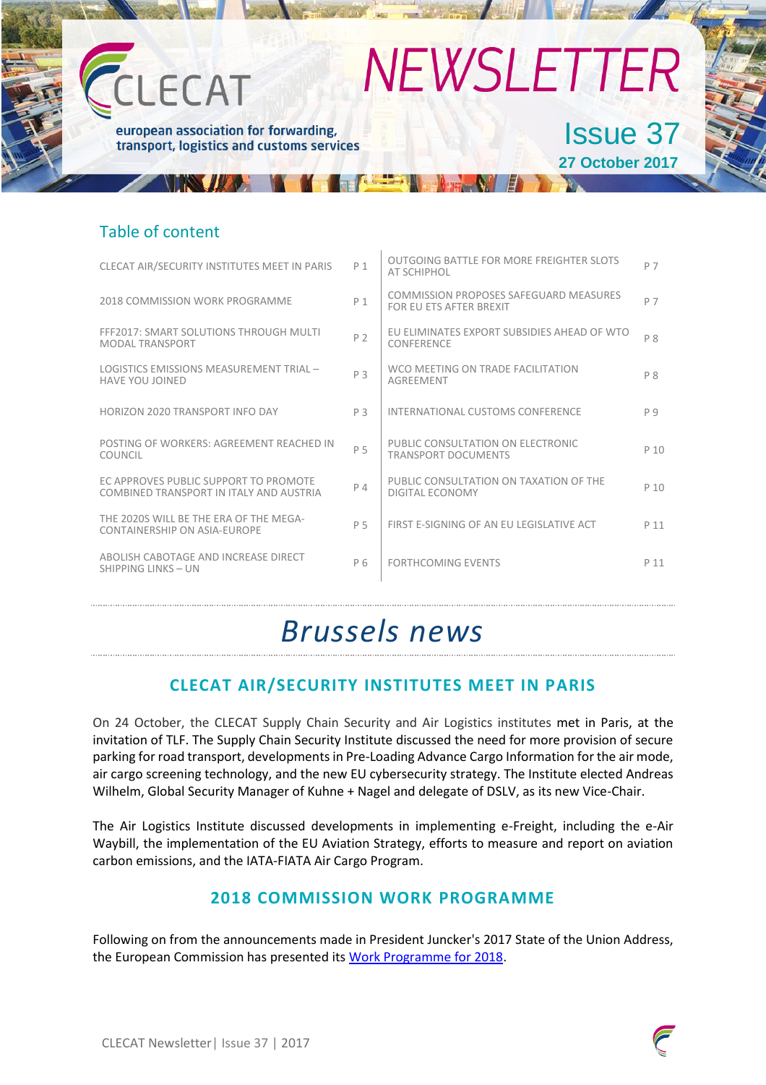## **NEWSLETTER**  $-CAT$ Issue 37european association for forwarding, transport, logistics and customs services **27 October 2017**

## Table of content

| CLECAT AIR/SECURITY INSTITUTES MEET IN PARIS                                     | P 1            | OUTGOING BATTLE FOR MORE FREIGHTER SLOTS<br>AT SCHIPHOL           | P 7            |
|----------------------------------------------------------------------------------|----------------|-------------------------------------------------------------------|----------------|
| 2018 COMMISSION WORK PROGRAMME                                                   | P 1            | COMMISSION PROPOSES SAFEGUARD MEASURES<br>FOR FU FTS AFTER BREXIT | P 7            |
| FFF2017: SMART SOLUTIONS THROUGH MULTI<br>MODAI TRANSPORT                        | P <sub>2</sub> | EU ELIMINATES EXPORT SUBSIDIES AHEAD OF WTO<br>CONFERENCE         | P <sub>8</sub> |
| LOGISTICS EMISSIONS MEASUREMENT TRIAL -<br><b>HAVE YOU JOINED</b>                | P 3            | WCO MEETING ON TRADE FACILITATION<br><b>AGREEMENT</b>             | P <sub>8</sub> |
| HORIZON 2020 TRANSPORT INFO DAY                                                  | P <sub>3</sub> | INTERNATIONAL CUSTOMS CONFERENCE                                  | pq             |
| POSTING OF WORKERS: AGREEMENT REACHED IN<br>COUNCIL                              | P 5            | PUBLIC CONSULTATION ON ELECTRONIC<br><b>TRANSPORT DOCUMENTS</b>   | P 10           |
| EC APPROVES PUBLIC SUPPORT TO PROMOTE<br>COMBINED TRANSPORT IN ITALY AND AUSTRIA | P 4            | PUBLIC CONSULTATION ON TAXATION OF THE<br>DIGITAL ECONOMY         | P 10           |
| THE 2020S WILL BE THE FRA OF THE MEGA-<br>CONTAINERSHIP ON ASIA-EUROPE           | P 5            | FIRST E-SIGNING OF AN EU LEGISLATIVE ACT                          | P 11           |
| ABOLISH CABOTAGE AND INCREASE DIRECT<br>SHIPPING LINKS - UN                      | P <sub>6</sub> | <b>FORTHCOMING EVENTS</b>                                         | P 11           |

## *Brussels news*

## **CLECAT AIR/SECURITY INSTITUTES MEET IN PARIS**

On 24 October, the CLECAT Supply Chain Security and Air Logistics institutes met in Paris, at the invitation of TLF. The Supply Chain Security Institute discussed the need for more provision of secure parking for road transport, developments in Pre-Loading Advance Cargo Information for the air mode, air cargo screening technology, and the new EU cybersecurity strategy. The Institute elected Andreas Wilhelm, Global Security Manager of Kuhne + Nagel and delegate of DSLV, as its new Vice-Chair.

The Air Logistics Institute discussed developments in implementing e-Freight, including the e-Air Waybill, the implementation of the EU Aviation Strategy, efforts to measure and report on aviation carbon emissions, and the IATA-FIATA Air Cargo Program.

## **2018 COMMISSION WORK PROGRAMME**

Following on from the announcements made in President Juncker's 2017 State of the Union Address, the European Commission has presented its Work Programme for 2018.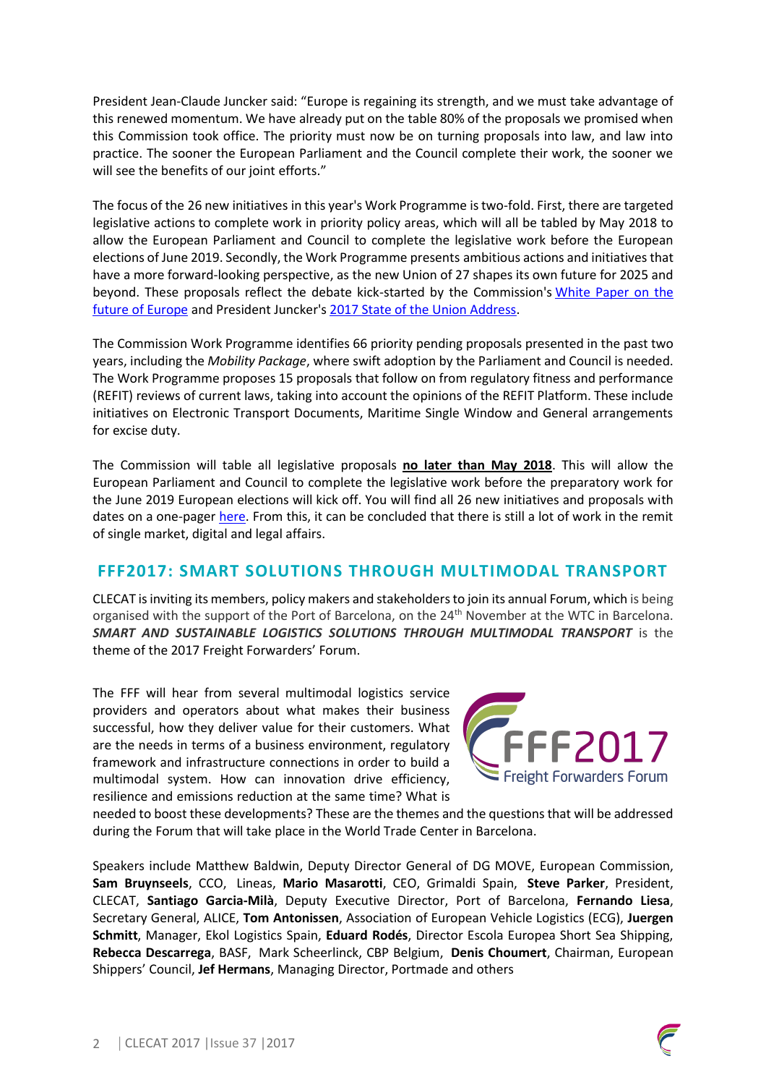President Jean-Claude Juncker said: "Europe is regaining its strength, and we must take advantage of this renewed momentum. We have already put on the table 80% of the proposals we promised when this Commission took office. The priority must now be on turning proposals into law, and law into practice. The sooner the European Parliament and the Council complete their work, the sooner we will see the benefits of our joint efforts."

The focus of the 26 new initiatives in this year's Work Programme is two-fold. First, there are targeted legislative actions to complete work in priority policy areas, which will all be tabled by May 2018 to allow the European Parliament and Council to complete the legislative work before the European elections of June 2019. Secondly, the Work Programme presents ambitious actions and initiatives that have a more forward-looking perspective, as the new Union of 27 shapes its own future for 2025 and beyond. These proposals reflect the debate kick-started by the Commission's White Paper on the future of Europe and President Juncker's 2017 State of the Union Address.

The Commission Work Programme identifies 66 priority pending proposals presented in the past two years, including the *Mobility Package*, where swift adoption by the Parliament and Council is needed. The Work Programme proposes 15 proposals that follow on from regulatory fitness and performance (REFIT) reviews of current laws, taking into account the opinions of the REFIT Platform. These include initiatives on Electronic Transport Documents, Maritime Single Window and General arrangements for excise duty.

The Commission will table all legislative proposals **no later than May 2018**. This will allow the European Parliament and Council to complete the legislative work before the preparatory work for the June 2019 European elections will kick off. You will find all 26 new initiatives and proposals with dates on a one-pager here. From this, it can be concluded that there is still a lot of work in the remit of single market, digital and legal affairs.

### **FFF2017: SMART SOLUTIONS THROUGH MULTIMODAL TRANSPORT**

CLECAT is inviting its members, policy makers and stakeholders to join its annual Forum, which is being organised with the support of the Port of Barcelona, on the 24<sup>th</sup> November at the WTC in Barcelona. *SMART AND SUSTAINABLE LOGISTICS SOLUTIONS THROUGH MULTIMODAL TRANSPORT* is the theme of the 2017 Freight Forwarders' Forum.

The FFF will hear from several multimodal logistics service providers and operators about what makes their business successful, how they deliver value for their customers. What are the needs in terms of a business environment, regulatory framework and infrastructure connections in order to build a multimodal system. How can innovation drive efficiency, resilience and emissions reduction at the same time? What is



needed to boost these developments? These are the themes and the questions that will be addressed during the Forum that will take place in the World Trade Center in Barcelona.

Speakers include Matthew Baldwin, Deputy Director General of DG MOVE, European Commission, **Sam Bruynseels**, CCO, Lineas, **Mario Masarotti**, CEO, Grimaldi Spain, **Steve Parker**, President, CLECAT, **Santiago Garcia-Milà**, Deputy Executive Director, Port of Barcelona, **Fernando Liesa**, Secretary General, ALICE, **Tom Antonissen**, Association of European Vehicle Logistics (ECG), **Juergen Schmitt**, Manager, Ekol Logistics Spain, **Eduard Rodés**, Director Escola Europea Short Sea Shipping, **Rebecca Descarrega**, BASF, Mark Scheerlinck, CBP Belgium, **Denis Choumert**, Chairman, European Shippers' Council, **Jef Hermans**, Managing Director, Portmade and others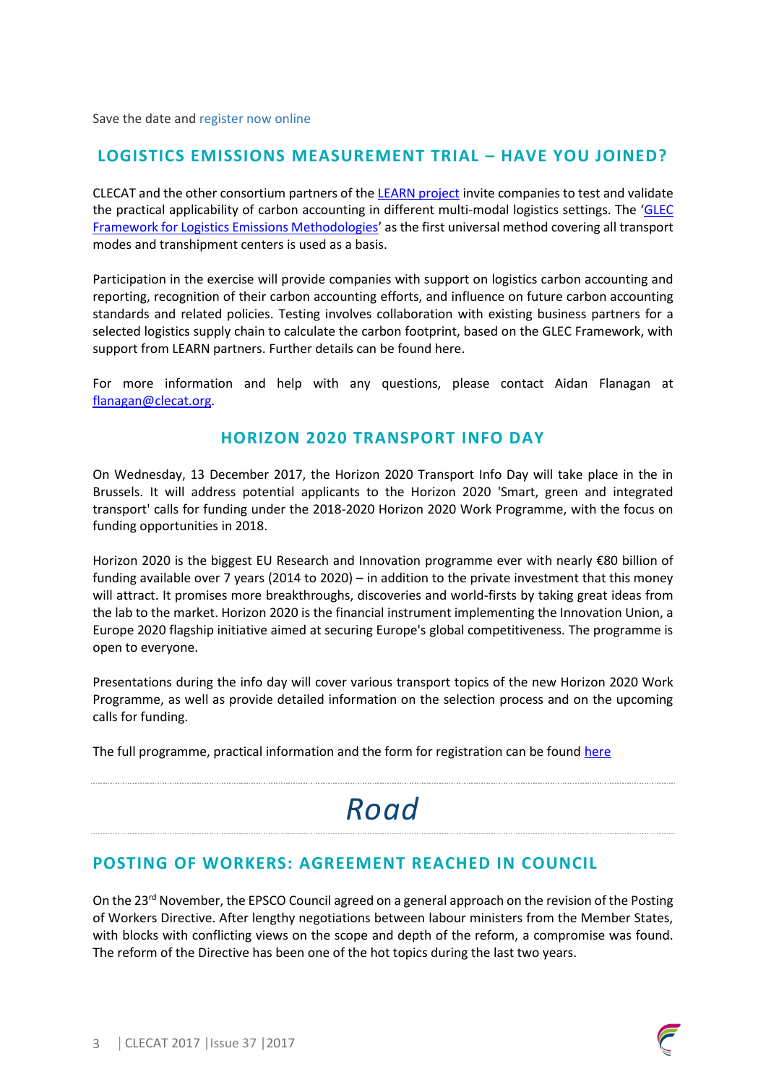Save the date and register now online

#### **LOGISTICS EMISSIONS MEASUREMENT TRIAL – HAVE YOU JOINED?**

CLECAT and the other consortium partners of the LEARN project invite companies to test and validate the practical applicability of carbon accounting in different multi-modal logistics settings. The 'GLEC Framework for Logistics Emissions Methodologies' as the first universal method covering all transport modes and transhipment centers is used as a basis.

Participation in the exercise will provide companies with support on logistics carbon accounting and reporting, recognition of their carbon accounting efforts, and influence on future carbon accounting standards and related policies. Testing involves collaboration with existing business partners for a selected logistics supply chain to calculate the carbon footprint, based on the GLEC Framework, with support from LEARN partners. Further details can be found here.

For more information and help with any questions, please contact Aidan Flanagan at flanagan@clecat.org.

#### **HORIZON 2020 TRANSPORT INFO DAY**

On Wednesday, 13 December 2017, the Horizon 2020 Transport Info Day will take place in the in Brussels. It will address potential applicants to the Horizon 2020 'Smart, green and integrated transport' calls for funding under the 2018-2020 Horizon 2020 Work Programme, with the focus on funding opportunities in 2018.

Horizon 2020 is the biggest EU Research and Innovation programme ever with nearly €80 billion of funding available over 7 years (2014 to 2020) – in addition to the private investment that this money will attract. It promises more breakthroughs, discoveries and world-firsts by taking great ideas from the lab to the market. Horizon 2020 is the financial instrument implementing the Innovation Union, a Europe 2020 flagship initiative aimed at securing Europe's global competitiveness. The programme is open to everyone.

Presentations during the info day will cover various transport topics of the new Horizon 2020 Work Programme, as well as provide detailed information on the selection process and on the upcoming calls for funding.

The full programme, practical information and the form for registration can be found here

## *Road*

### **POSTING OF WORKERS: AGREEMENT REACHED IN COUNCIL**

On the 23<sup>rd</sup> November, the EPSCO Council agreed on a general approach on the revision of the Posting of Workers Directive. After lengthy negotiations between labour ministers from the Member States, with blocks with conflicting views on the scope and depth of the reform, a compromise was found. The reform of the Directive has been one of the hot topics during the last two years.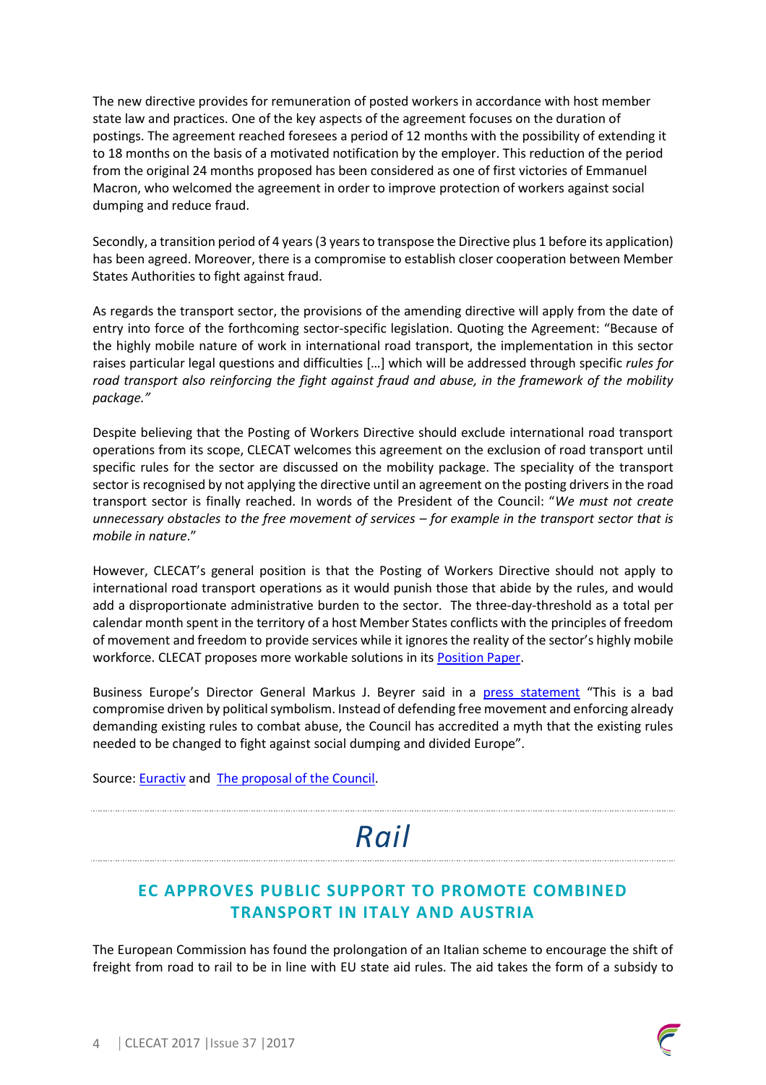The new directive provides for remuneration of posted workers in accordance with host member state law and practices. One of the key aspects of the agreement focuses on the duration of postings. The agreement reached foresees a period of 12 months with the possibility of extending it to 18 months on the basis of a motivated notification by the employer. This reduction of the period from the original 24 months proposed has been considered as one of first victories of Emmanuel Macron, who welcomed the agreement in order to improve protection of workers against social dumping and reduce fraud.

Secondly, a transition period of 4 years (3 years to transpose the Directive plus 1 before its application) has been agreed. Moreover, there is a compromise to establish closer cooperation between Member States Authorities to fight against fraud.

As regards the transport sector, the provisions of the amending directive will apply from the date of entry into force of the forthcoming sector-specific legislation. Quoting the Agreement: "Because of the highly mobile nature of work in international road transport, the implementation in this sector raises particular legal questions and difficulties […] which will be addressed through specific *rules for road transport also reinforcing the fight against fraud and abuse, in the framework of the mobility package."* 

Despite believing that the Posting of Workers Directive should exclude international road transport operations from its scope, CLECAT welcomes this agreement on the exclusion of road transport until specific rules for the sector are discussed on the mobility package. The speciality of the transport sector is recognised by not applying the directive until an agreement on the posting drivers in the road transport sector is finally reached. In words of the President of the Council: "*We must not create unnecessary obstacles to the free movement of services – for example in the transport sector that is mobile in nature*."

However, CLECAT's general position is that the Posting of Workers Directive should not apply to international road transport operations as it would punish those that abide by the rules, and would add a disproportionate administrative burden to the sector. The three-day-threshold as a total per calendar month spent in the territory of a host Member States conflicts with the principles of freedom of movement and freedom to provide services while it ignores the reality of the sector's highly mobile workforce. CLECAT proposes more workable solutions in its Position Paper.

Business Europe's Director General Markus J. Beyrer said in a press statement "This is a bad compromise driven by political symbolism. Instead of defending free movement and enforcing already demanding existing rules to combat abuse, the Council has accredited a myth that the existing rules needed to be changed to fight against social dumping and divided Europe".

Source: **Euractiv** and **The proposal of the Council**.

# *Rail*

## **EC APPROVES PUBLIC SUPPORT TO PROMOTE COMBINED TRANSPORT IN ITALY AND AUSTRIA**

The European Commission has found the prolongation of an Italian scheme to encourage the shift of freight from road to rail to be in line with EU state aid rules. The aid takes the form of a subsidy to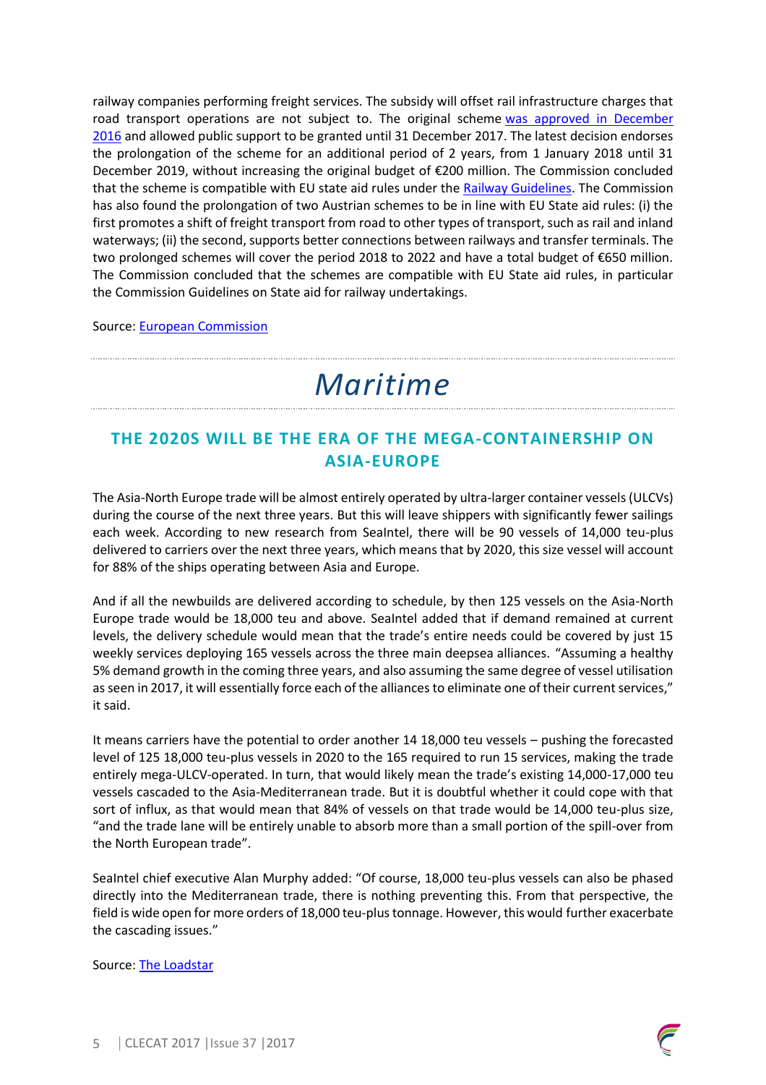railway companies performing freight services. The subsidy will offset rail infrastructure charges that road transport operations are not subject to. The original scheme was approved in December 2016 and allowed public support to be granted until 31 December 2017. The latest decision endorses the prolongation of the scheme for an additional period of 2 years, from 1 January 2018 until 31 December 2019, without increasing the original budget of €200 million. The Commission concluded that the scheme is compatible with EU state aid rules under the Railway Guidelines. The Commission has also found the prolongation of two Austrian schemes to be in line with EU State aid rules: (i) the first promotes a shift of freight transport from road to other types of transport, such as rail and inland waterways; (ii) the second, supports better connections between railways and transfer terminals. The two prolonged schemes will cover the period 2018 to 2022 and have a total budget of €650 million. The Commission concluded that the schemes are compatible with EU State aid rules, in particular the Commission Guidelines on State aid for railway undertakings.

Source: European Commission

# *Maritime*

## **THE 2020S WILL BE THE ERA OF THE MEGA-CONTAINERSHIP ON ASIA-EUROPE**

The Asia-North Europe trade will be almost entirely operated by ultra-larger container vessels (ULCVs) during the course of the next three years. But this will leave shippers with significantly fewer sailings each week. According to new research from SeaIntel, there will be 90 vessels of 14,000 teu-plus delivered to carriers over the next three years, which means that by 2020, this size vessel will account for 88% of the ships operating between Asia and Europe.

And if all the newbuilds are delivered according to schedule, by then 125 vessels on the Asia-North Europe trade would be 18,000 teu and above. SeaIntel added that if demand remained at current levels, the delivery schedule would mean that the trade's entire needs could be covered by just 15 weekly services deploying 165 vessels across the three main deepsea alliances. "Assuming a healthy 5% demand growth in the coming three years, and also assuming the same degree of vessel utilisation as seen in 2017, it will essentially force each of the alliances to eliminate one of their current services," it said.

It means carriers have the potential to order another 14 18,000 teu vessels – pushing the forecasted level of 125 18,000 teu-plus vessels in 2020 to the 165 required to run 15 services, making the trade entirely mega-ULCV-operated. In turn, that would likely mean the trade's existing 14,000-17,000 teu vessels cascaded to the Asia-Mediterranean trade. But it is doubtful whether it could cope with that sort of influx, as that would mean that 84% of vessels on that trade would be 14,000 teu-plus size, "and the trade lane will be entirely unable to absorb more than a small portion of the spill-over from the North European trade".

SeaIntel chief executive Alan Murphy added: "Of course, 18,000 teu-plus vessels can also be phased directly into the Mediterranean trade, there is nothing preventing this. From that perspective, the field is wide open for more orders of 18,000 teu-plus tonnage. However, this would further exacerbate the cascading issues."

Source: The Loadstar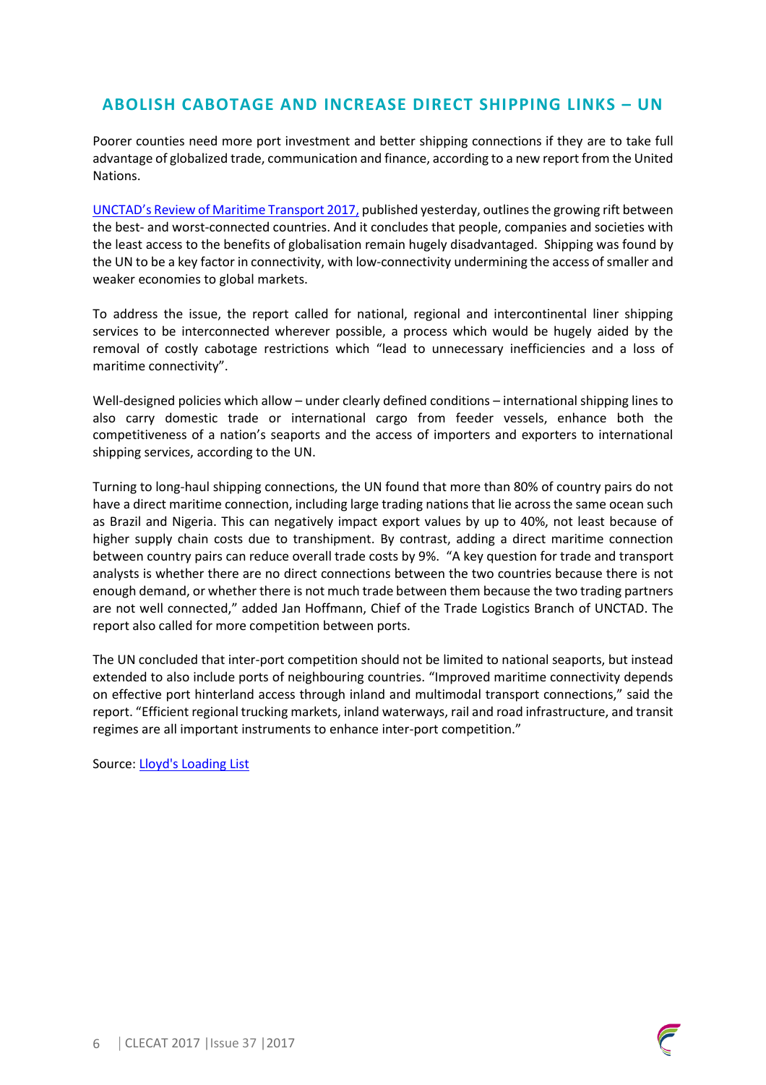## **ABOLISH CABOTAGE AND INCREASE DIRECT SHIPPING LINKS – UN**

Poorer counties need more port investment and better shipping connections if they are to take full advantage of globalized trade, communication and finance, according to a new report from the United Nations.

UNCTAD's Review of Maritime Transport 2017, published yesterday, outlines the growing rift between the best- and worst-connected countries. And it concludes that people, companies and societies with the least access to the benefits of globalisation remain hugely disadvantaged. Shipping was found by the UN to be a key factor in connectivity, with low-connectivity undermining the access of smaller and weaker economies to global markets.

To address the issue, the report called for national, regional and intercontinental liner shipping services to be interconnected wherever possible, a process which would be hugely aided by the removal of costly cabotage restrictions which "lead to unnecessary inefficiencies and a loss of maritime connectivity".

Well-designed policies which allow – under clearly defined conditions – international shipping lines to also carry domestic trade or international cargo from feeder vessels, enhance both the competitiveness of a nation's seaports and the access of importers and exporters to international shipping services, according to the UN.

Turning to long-haul shipping connections, the UN found that more than 80% of country pairs do not have a direct maritime connection, including large trading nations that lie across the same ocean such as Brazil and Nigeria. This can negatively impact export values by up to 40%, not least because of higher supply chain costs due to transhipment. By contrast, adding a direct maritime connection between country pairs can reduce overall trade costs by 9%. "A key question for trade and transport analysts is whether there are no direct connections between the two countries because there is not enough demand, or whether there is not much trade between them because the two trading partners are not well connected," added Jan Hoffmann, Chief of the Trade Logistics Branch of UNCTAD. The report also called for more competition between ports.

The UN concluded that inter-port competition should not be limited to national seaports, but instead extended to also include ports of neighbouring countries. "Improved maritime connectivity depends on effective port hinterland access through inland and multimodal transport connections," said the report. "Efficient regional trucking markets, inland waterways, rail and road infrastructure, and transit regimes are all important instruments to enhance inter-port competition."

Source: Lloyd's Loading List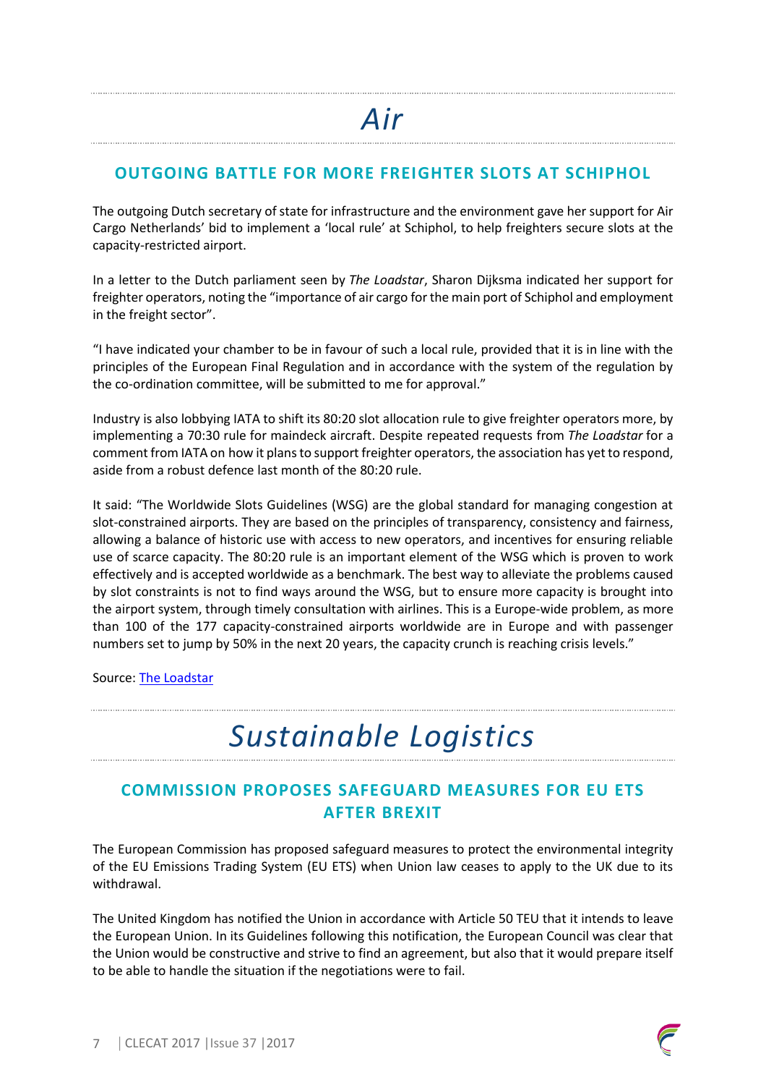## **OUTGOING BATTLE FOR MORE FREIGHTER SLOTS AT SCHIPHOL**

The outgoing Dutch secretary of state for infrastructure and the environment gave her support for Air Cargo Netherlands' bid to implement a 'local rule' at Schiphol, to help freighters secure slots at the capacity-restricted airport.

In a letter to the Dutch parliament seen by *The Loadstar*, Sharon Dijksma indicated her support for freighter operators, noting the "importance of air cargo for the main port of Schiphol and employment in the freight sector".

"I have indicated your chamber to be in favour of such a local rule, provided that it is in line with the principles of the European Final Regulation and in accordance with the system of the regulation by the co-ordination committee, will be submitted to me for approval."

Industry is also lobbying IATA to shift its 80:20 slot allocation rule to give freighter operators more, by implementing a 70:30 rule for maindeck aircraft. Despite repeated requests from *The Loadstar* for a comment from IATA on how it plans to support freighter operators, the association has yet to respond, aside from a robust defence last month of the 80:20 rule.

It said: "The Worldwide Slots Guidelines (WSG) are the global standard for managing congestion at slot-constrained airports. They are based on the principles of transparency, consistency and fairness, allowing a balance of historic use with access to new operators, and incentives for ensuring reliable use of scarce capacity. The 80:20 rule is an important element of the WSG which is proven to work effectively and is accepted worldwide as a benchmark. The best way to alleviate the problems caused by slot constraints is not to find ways around the WSG, but to ensure more capacity is brought into the airport system, through timely consultation with airlines. This is a Europe-wide problem, as more than 100 of the 177 capacity-constrained airports worldwide are in Europe and with passenger numbers set to jump by 50% in the next 20 years, the capacity crunch is reaching crisis levels."

Source: The Loadstar

# *Sustainable Logistics*

## **COMMISSION PROPOSES SAFEGUARD MEASURES FOR EU ETS AFTER BREXIT**

The European Commission has proposed safeguard measures to protect the environmental integrity of the EU Emissions Trading System (EU ETS) when Union law ceases to apply to the UK due to its withdrawal.

The United Kingdom has notified the Union in accordance with Article 50 TEU that it intends to leave the European Union. In its Guidelines following this notification, the European Council was clear that the Union would be constructive and strive to find an agreement, but also that it would prepare itself to be able to handle the situation if the negotiations were to fail.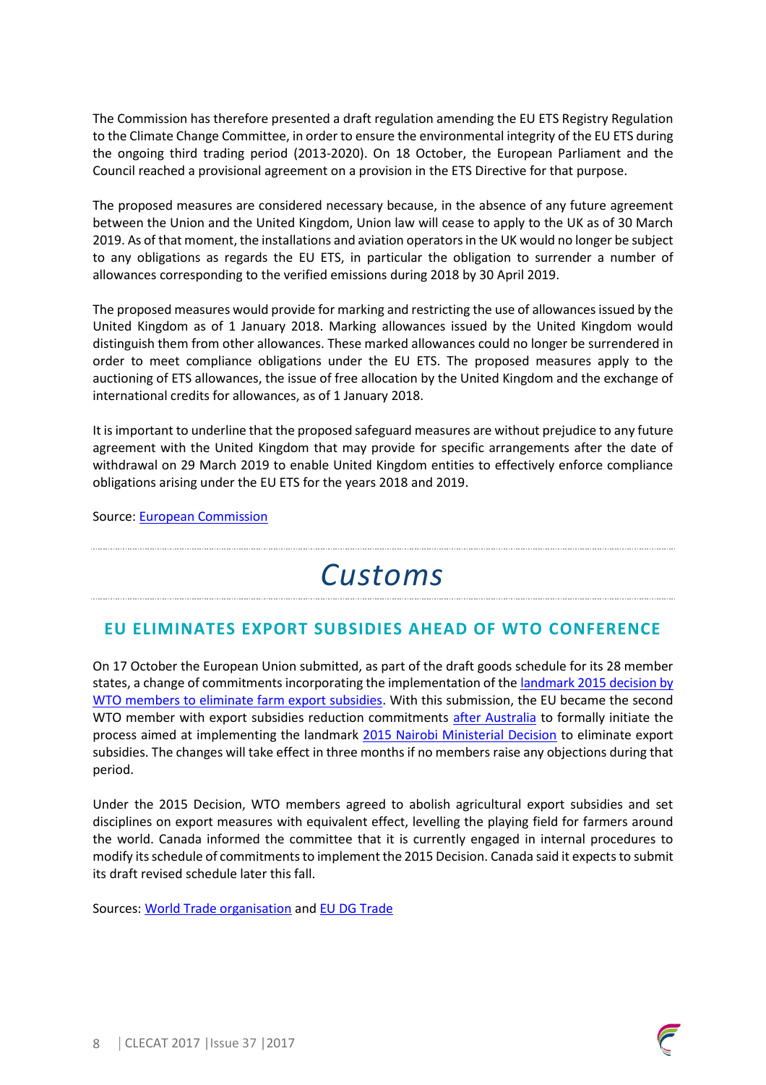The Commission has therefore presented a draft regulation amending the EU ETS Registry Regulation to the Climate Change Committee, in order to ensure the environmental integrity of the EU ETS during the ongoing third trading period (2013-2020). On 18 October, the European Parliament and the Council reached a provisional agreement on a provision in the ETS Directive for that purpose.

The proposed measures are considered necessary because, in the absence of any future agreement between the Union and the United Kingdom, Union law will cease to apply to the UK as of 30 March 2019. As of that moment, the installations and aviation operators in the UK would no longer be subject to any obligations as regards the EU ETS, in particular the obligation to surrender a number of allowances corresponding to the verified emissions during 2018 by 30 April 2019.

The proposed measures would provide for marking and restricting the use of allowances issued by the United Kingdom as of 1 January 2018. Marking allowances issued by the United Kingdom would distinguish them from other allowances. These marked allowances could no longer be surrendered in order to meet compliance obligations under the EU ETS. The proposed measures apply to the auctioning of ETS allowances, the issue of free allocation by the United Kingdom and the exchange of international credits for allowances, as of 1 January 2018.

It is important to underline that the proposed safeguard measures are without prejudice to any future agreement with the United Kingdom that may provide for specific arrangements after the date of withdrawal on 29 March 2019 to enable United Kingdom entities to effectively enforce compliance obligations arising under the EU ETS for the years 2018 and 2019.

Source: European Commission

# *Customs*

## **EU ELIMINATES EXPORT SUBSIDIES AHEAD OF WTO CONFERENCE**

On 17 October the European Union submitted, as part of the draft goods schedule for its 28 member states, a change of commitments incorporating the implementation of the landmark 2015 decision by WTO members to eliminate farm export subsidies. With this submission, the EU became the second WTO member with export subsidies reduction commitments after Australia to formally initiate the process aimed at implementing the landmark 2015 Nairobi Ministerial Decision to eliminate export subsidies. The changes will take effect in three months if no members raise any objections during that period.

Under the 2015 Decision, WTO members agreed to abolish agricultural export subsidies and set disciplines on export measures with equivalent effect, levelling the playing field for farmers around the world. Canada informed the committee that it is currently engaged in internal procedures to modify its schedule of commitments to implement the 2015 Decision. Canada said it expects to submit its draft revised schedule later this fall.

Sources: World Trade organisation and EU DG Trade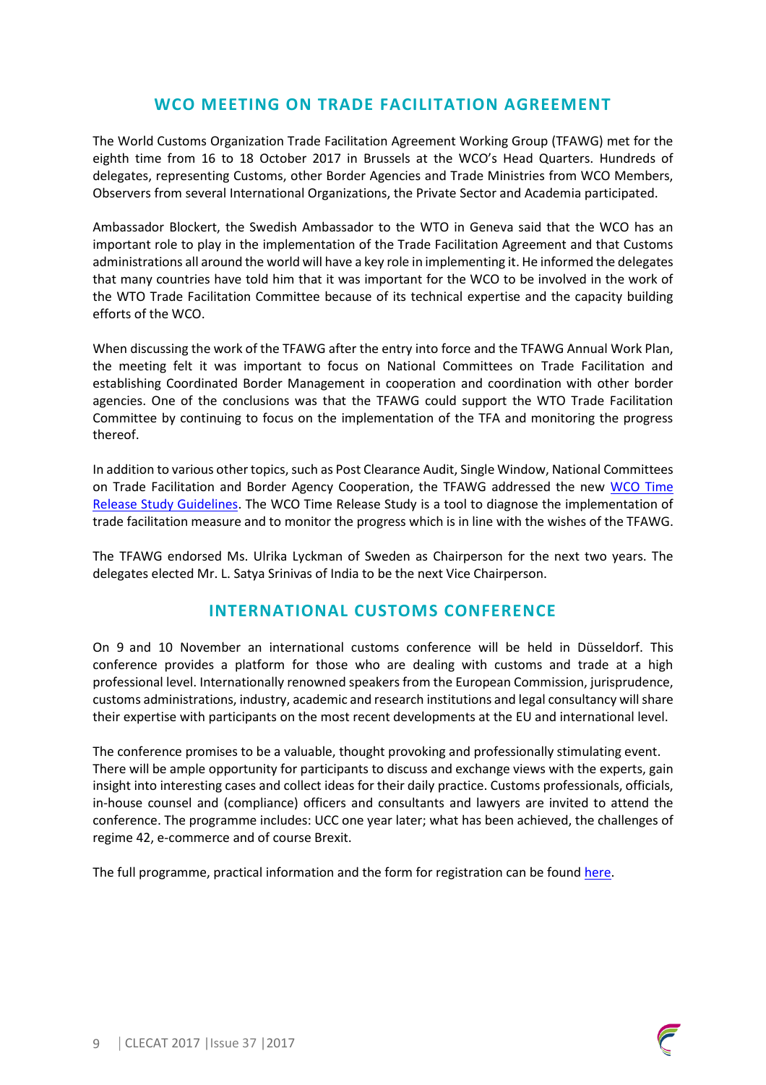### **WCO MEETING ON TRADE FACILITATION AGREEMENT**

The World Customs Organization Trade Facilitation Agreement Working Group (TFAWG) met for the eighth time from 16 to 18 October 2017 in Brussels at the WCO's Head Quarters. Hundreds of delegates, representing Customs, other Border Agencies and Trade Ministries from WCO Members, Observers from several International Organizations, the Private Sector and Academia participated.

Ambassador Blockert, the Swedish Ambassador to the WTO in Geneva said that the WCO has an important role to play in the implementation of the Trade Facilitation Agreement and that Customs administrations all around the world will have a key role in implementing it. He informed the delegates that many countries have told him that it was important for the WCO to be involved in the work of the WTO Trade Facilitation Committee because of its technical expertise and the capacity building efforts of the WCO.

When discussing the work of the TFAWG after the entry into force and the TFAWG Annual Work Plan, the meeting felt it was important to focus on National Committees on Trade Facilitation and establishing Coordinated Border Management in cooperation and coordination with other border agencies. One of the conclusions was that the TFAWG could support the WTO Trade Facilitation Committee by continuing to focus on the implementation of the TFA and monitoring the progress thereof.

In addition to various other topics, such as Post Clearance Audit, Single Window, National Committees on Trade Facilitation and Border Agency Cooperation, the TFAWG addressed the new WCO Time Release Study Guidelines. The WCO Time Release Study is a tool to diagnose the implementation of trade facilitation measure and to monitor the progress which is in line with the wishes of the TFAWG.

The TFAWG endorsed Ms. Ulrika Lyckman of Sweden as Chairperson for the next two years. The delegates elected Mr. L. Satya Srinivas of India to be the next Vice Chairperson.

#### **INTERNATIONAL CUSTOMS CONFERENCE**

On 9 and 10 November an international customs conference will be held in Düsseldorf. This conference provides a platform for those who are dealing with customs and trade at a high professional level. Internationally renowned speakers from the European Commission, jurisprudence, customs administrations, industry, academic and research institutions and legal consultancy will share their expertise with participants on the most recent developments at the EU and international level.

The conference promises to be a valuable, thought provoking and professionally stimulating event. There will be ample opportunity for participants to discuss and exchange views with the experts, gain insight into interesting cases and collect ideas for their daily practice. Customs professionals, officials, in-house counsel and (compliance) officers and consultants and lawyers are invited to attend the conference. The programme includes: UCC one year later; what has been achieved, the challenges of regime 42, e-commerce and of course Brexit.

The full programme, practical information and the form for registration can be found here.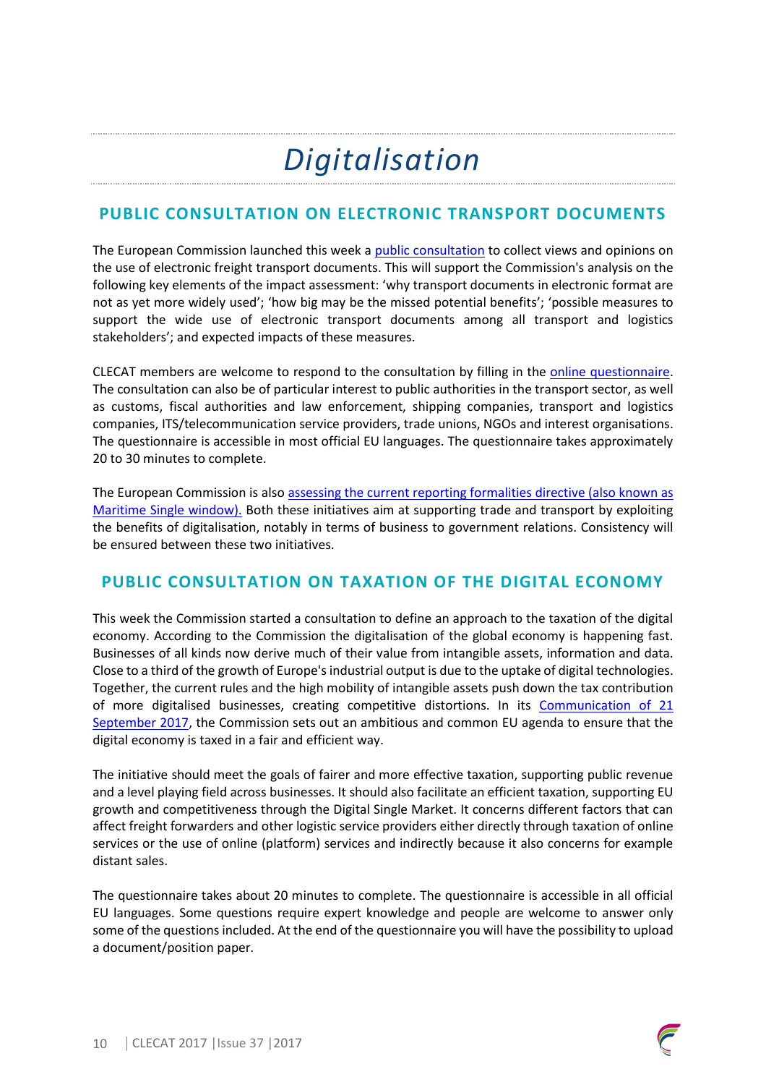# *Digitalisation*

## **PUBLIC CONSULTATION ON ELECTRONIC TRANSPORT DOCUMENTS**

The European Commission launched this week a public consultation to collect views and opinions on the use of electronic freight transport documents. This will support the Commission's analysis on the following key elements of the impact assessment: 'why transport documents in electronic format are not as yet more widely used'; 'how big may be the missed potential benefits'; 'possible measures to support the wide use of electronic transport documents among all transport and logistics stakeholders'; and expected impacts of these measures.

CLECAT members are welcome to respond to the consultation by filling in the online questionnaire. The consultation can also be of particular interest to public authorities in the transport sector, as well as customs, fiscal authorities and law enforcement, shipping companies, transport and logistics companies, ITS/telecommunication service providers, trade unions, NGOs and interest organisations. The questionnaire is accessible in most official EU languages. The questionnaire takes approximately 20 to 30 minutes to complete.

The European Commission is also assessing the current reporting formalities directive (also known as Maritime Single window). Both these initiatives aim at supporting trade and transport by exploiting the benefits of digitalisation, notably in terms of business to government relations. Consistency will be ensured between these two initiatives.

## **PUBLIC CONSULTATION ON TAXATION OF THE DIGITAL ECONOMY**

This week the Commission started a consultation to define an approach to the taxation of the digital economy. According to the Commission the digitalisation of the global economy is happening fast. Businesses of all kinds now derive much of their value from intangible assets, information and data. Close to a third of the growth of Europe's industrial output is due to the uptake of digital technologies. Together, the current rules and the high mobility of intangible assets push down the tax contribution of more digitalised businesses, creating competitive distortions. In its Communication of 21 September 2017, the Commission sets out an ambitious and common EU agenda to ensure that the digital economy is taxed in a fair and efficient way.

The initiative should meet the goals of fairer and more effective taxation, supporting public revenue and a level playing field across businesses. It should also facilitate an efficient taxation, supporting EU growth and competitiveness through the Digital Single Market. It concerns different factors that can affect freight forwarders and other logistic service providers either directly through taxation of online services or the use of online (platform) services and indirectly because it also concerns for example distant sales.

The questionnaire takes about 20 minutes to complete. The questionnaire is accessible in all official EU languages. Some questions require expert knowledge and people are welcome to answer only some of the questions included. At the end of the questionnaire you will have the possibility to upload a document/position paper.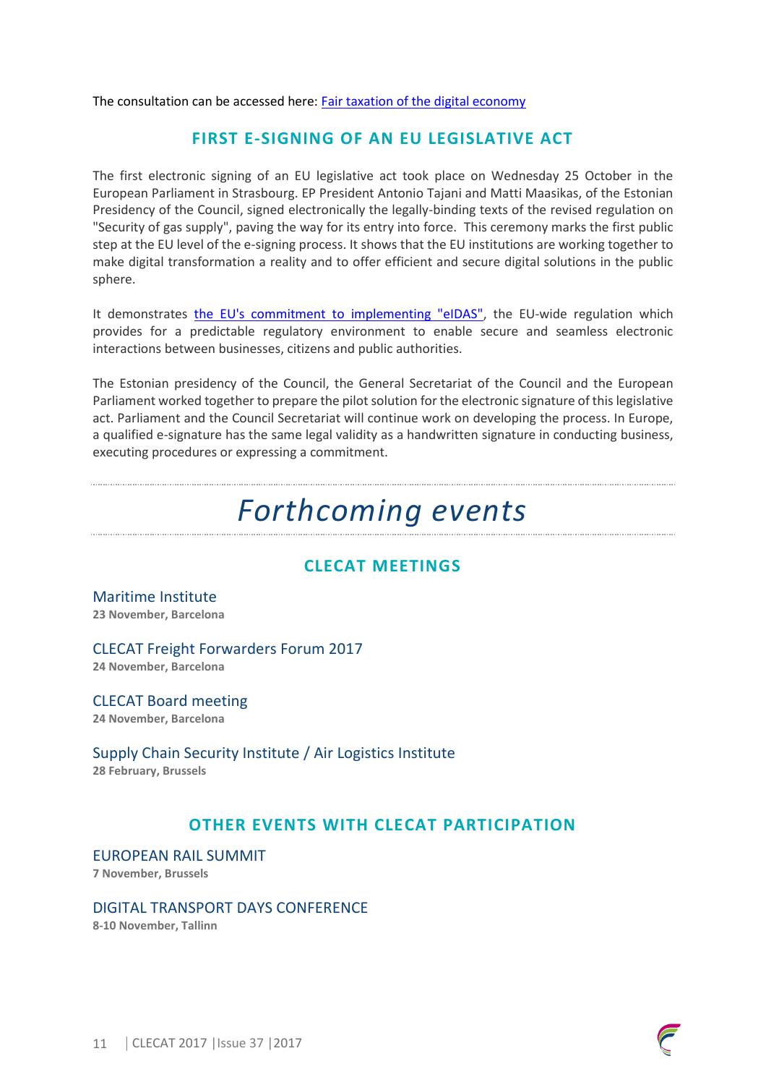The consultation can be accessed here: **Fair taxation of the digital economy** 

### **FIRST E-SIGNING OF AN EU LEGISLATIVE ACT**

The first electronic signing of an EU legislative act took place on Wednesday 25 October in the European Parliament in Strasbourg. EP President Antonio Tajani and Matti Maasikas, of the Estonian Presidency of the Council, signed electronically the legally-binding texts of the revised regulation on "Security of gas supply", paving the way for its entry into force. This ceremony marks the first public step at the EU level of the e-signing process. It shows that the EU institutions are working together to make digital transformation a reality and to offer efficient and secure digital solutions in the public sphere.

It demonstrates the EU's commitment to implementing "eIDAS", the EU-wide regulation which provides for a predictable regulatory environment to enable secure and seamless electronic interactions between businesses, citizens and public authorities.

The Estonian presidency of the Council, the General Secretariat of the Council and the European Parliament worked together to prepare the pilot solution for the electronic signature of this legislative act. Parliament and the Council Secretariat will continue work on developing the process. In Europe, a qualified e-signature has the same legal validity as a handwritten signature in conducting business, executing procedures or expressing a commitment.

## *Forthcoming events*

## **CLECAT MEETINGS**

Maritime Institute **23 November, Barcelona**

#### CLECAT Freight Forwarders Forum 2017

**24 November, Barcelona**

CLECAT Board meeting **24 November, Barcelona**

Supply Chain Security Institute / Air Logistics Institute **28 February, Brussels** 

### **OTHER EVENTS WITH CLECAT PARTICIPATION**

EUROPEAN RAIL SUMMIT **7 November, Brussels**

#### DIGITAL TRANSPORT DAYS CONFERENCE

**8-10 November, Tallinn**